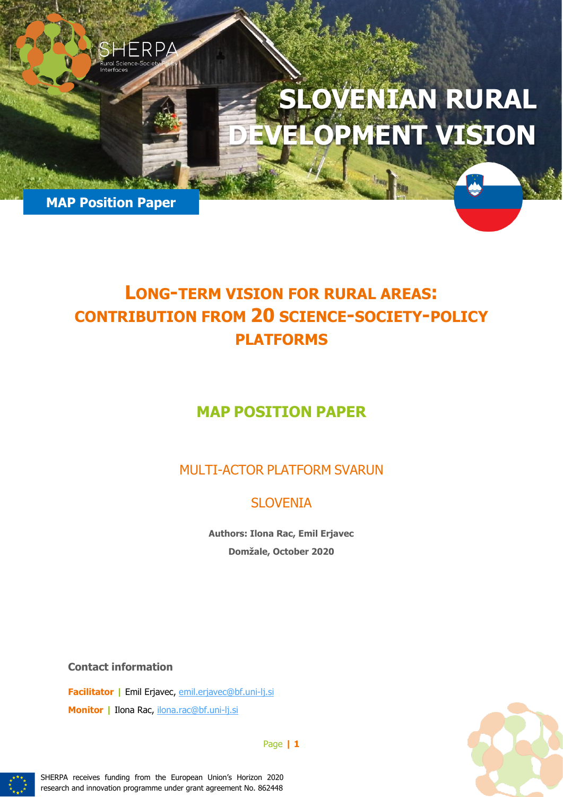# **SLOVENIAN RURAL**  LOPMENT VISION

**MAP Position Paper** 

1ERP4

# **LONG-TERM VISION FOR RURAL AREAS: CONTRIBUTION FROM 20 SCIENCE-SOCIETY-POLICY PLATFORMS**

# **MAP POSITION PAPER**

MULTI-ACTOR PLATFORM SVARUN

## SLOVENIA

**Authors: Ilona Rac, Emil Erjavec Domžale, October 2020**

**Contact information**

**Facilitator |** Emil Erjavec, [emil.erjavec@bf.uni-lj.si](mailto:emil.erjavec@bf.uni-lj.si) **Monitor |** Ilona Rac, [ilona.rac@bf.uni-lj.si](mailto:ilona.rac@bf.uni-lj.si)



Page **| 1**



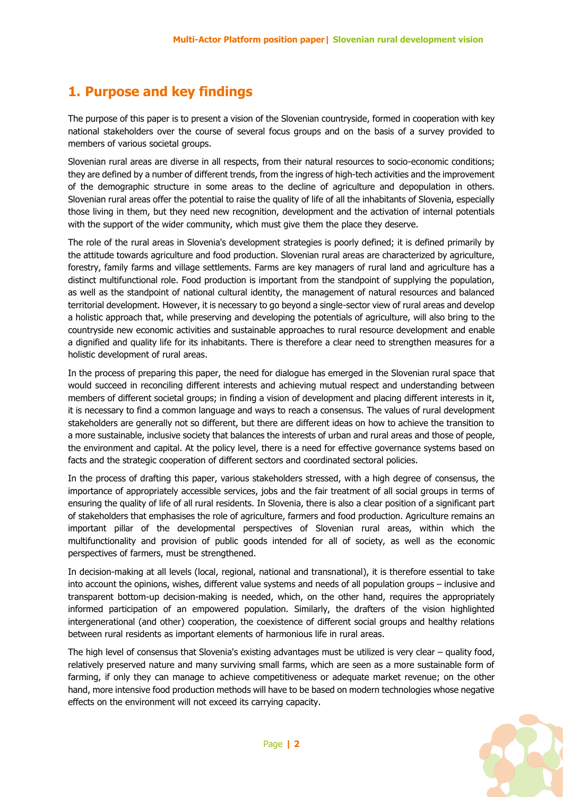## **1. Purpose and key findings**

The purpose of this paper is to present a vision of the Slovenian countryside, formed in cooperation with key national stakeholders over the course of several focus groups and on the basis of a survey provided to members of various societal groups.

Slovenian rural areas are diverse in all respects, from their natural resources to socio-economic conditions; they are defined by a number of different trends, from the ingress of high-tech activities and the improvement of the demographic structure in some areas to the decline of agriculture and depopulation in others. Slovenian rural areas offer the potential to raise the quality of life of all the inhabitants of Slovenia, especially those living in them, but they need new recognition, development and the activation of internal potentials with the support of the wider community, which must give them the place they deserve.

The role of the rural areas in Slovenia's development strategies is poorly defined; it is defined primarily by the attitude towards agriculture and food production. Slovenian rural areas are characterized by agriculture, forestry, family farms and village settlements. Farms are key managers of rural land and agriculture has a distinct multifunctional role. Food production is important from the standpoint of supplying the population, as well as the standpoint of national cultural identity, the management of natural resources and balanced territorial development. However, it is necessary to go beyond a single-sector view of rural areas and develop a holistic approach that, while preserving and developing the potentials of agriculture, will also bring to the countryside new economic activities and sustainable approaches to rural resource development and enable a dignified and quality life for its inhabitants. There is therefore a clear need to strengthen measures for a holistic development of rural areas.

In the process of preparing this paper, the need for dialogue has emerged in the Slovenian rural space that would succeed in reconciling different interests and achieving mutual respect and understanding between members of different societal groups; in finding a vision of development and placing different interests in it, it is necessary to find a common language and ways to reach a consensus. The values of rural development stakeholders are generally not so different, but there are different ideas on how to achieve the transition to a more sustainable, inclusive society that balances the interests of urban and rural areas and those of people, the environment and capital. At the policy level, there is a need for effective governance systems based on facts and the strategic cooperation of different sectors and coordinated sectoral policies.

In the process of drafting this paper, various stakeholders stressed, with a high degree of consensus, the importance of appropriately accessible services, jobs and the fair treatment of all social groups in terms of ensuring the quality of life of all rural residents. In Slovenia, there is also a clear position of a significant part of stakeholders that emphasises the role of agriculture, farmers and food production. Agriculture remains an important pillar of the developmental perspectives of Slovenian rural areas, within which the multifunctionality and provision of public goods intended for all of society, as well as the economic perspectives of farmers, must be strengthened.

In decision-making at all levels (local, regional, national and transnational), it is therefore essential to take into account the opinions, wishes, different value systems and needs of all population groups – inclusive and transparent bottom-up decision-making is needed, which, on the other hand, requires the appropriately informed participation of an empowered population. Similarly, the drafters of the vision highlighted intergenerational (and other) cooperation, the coexistence of different social groups and healthy relations between rural residents as important elements of harmonious life in rural areas.

The high level of consensus that Slovenia's existing advantages must be utilized is very clear – quality food, relatively preserved nature and many surviving small farms, which are seen as a more sustainable form of farming, if only they can manage to achieve competitiveness or adequate market revenue; on the other hand, more intensive food production methods will have to be based on modern technologies whose negative effects on the environment will not exceed its carrying capacity.

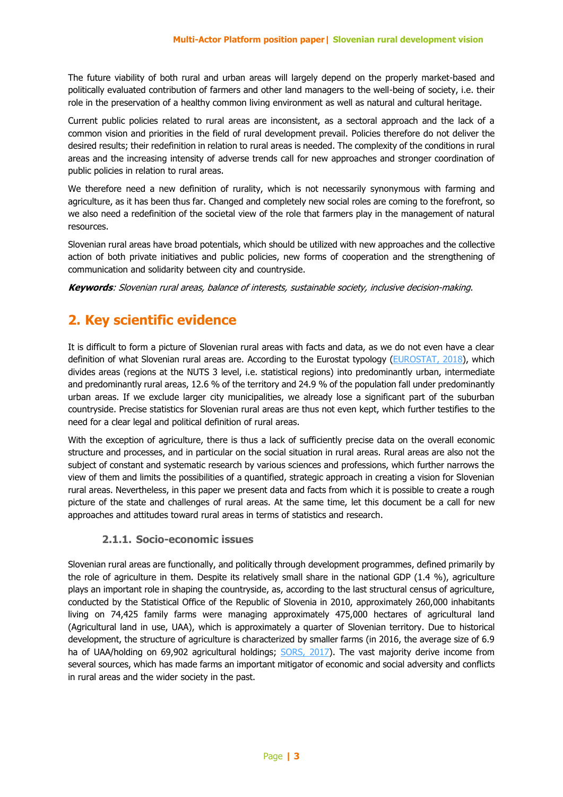The future viability of both rural and urban areas will largely depend on the properly market-based and politically evaluated contribution of farmers and other land managers to the well-being of society, i.e. their role in the preservation of a healthy common living environment as well as natural and cultural heritage.

Current public policies related to rural areas are inconsistent, as a sectoral approach and the lack of a common vision and priorities in the field of rural development prevail. Policies therefore do not deliver the desired results; their redefinition in relation to rural areas is needed. The complexity of the conditions in rural areas and the increasing intensity of adverse trends call for new approaches and stronger coordination of public policies in relation to rural areas.

We therefore need a new definition of rurality, which is not necessarily synonymous with farming and agriculture, as it has been thus far. Changed and completely new social roles are coming to the forefront, so we also need a redefinition of the societal view of the role that farmers play in the management of natural resources.

Slovenian rural areas have broad potentials, which should be utilized with new approaches and the collective action of both private initiatives and public policies, new forms of cooperation and the strengthening of communication and solidarity between city and countryside.

**Keywords**: Slovenian rural areas, balance of interests, sustainable society, inclusive decision-making.

## **2. Key scientific evidence**

It is difficult to form a picture of Slovenian rural areas with facts and data, as we do not even have a clear definition of what Slovenian rural areas are. According to the Eurostat typology [\(EUROSTAT, 2018\)](https://ec.europa.eu/eurostat/statistics-explained/index.php/Archive:Urban-rural_typology#cite_ref-1), which divides areas (regions at the NUTS 3 level, i.e. statistical regions) into predominantly urban, intermediate and predominantly rural areas, 12.6 % of the territory and 24.9 % of the population fall under predominantly urban areas. If we exclude larger city municipalities, we already lose a significant part of the suburban countryside. Precise statistics for Slovenian rural areas are thus not even kept, which further testifies to the need for a clear legal and political definition of rural areas.

With the exception of agriculture, there is thus a lack of sufficiently precise data on the overall economic structure and processes, and in particular on the social situation in rural areas. Rural areas are also not the subject of constant and systematic research by various sciences and professions, which further narrows the view of them and limits the possibilities of a quantified, strategic approach in creating a vision for Slovenian rural areas. Nevertheless, in this paper we present data and facts from which it is possible to create a rough picture of the state and challenges of rural areas. At the same time, let this document be a call for new approaches and attitudes toward rural areas in terms of statistics and research.

#### **2.1.1. Socio-economic issues**

Slovenian rural areas are functionally, and politically through development programmes, defined primarily by the role of agriculture in them. Despite its relatively small share in the national GDP (1.4 %), agriculture plays an important role in shaping the countryside, as, according to the last structural census of agriculture, conducted by the Statistical Office of the Republic of Slovenia in 2010, approximately 260,000 inhabitants living on 74,425 family farms were managing approximately 475,000 hectares of agricultural land (Agricultural land in use, UAA), which is approximately a quarter of Slovenian territory. Due to historical development, the structure of agriculture is characterized by smaller farms (in 2016, the average size of 6.9 ha of UAA/holding on 69,902 agricultural holdings; [SORS, 2017\)](https://www.stat.si/StatWeb/News/Index/6742). The vast majority derive income from several sources, which has made farms an important mitigator of economic and social adversity and conflicts in rural areas and the wider society in the past.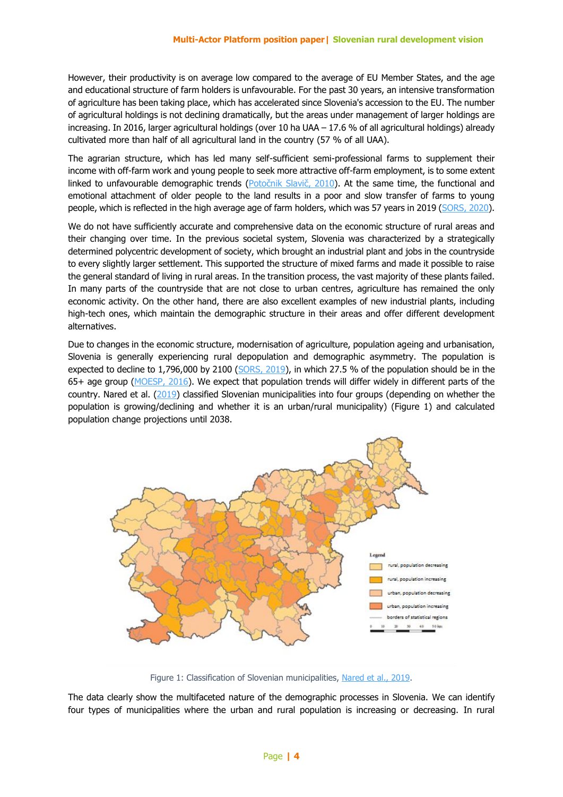However, their productivity is on average low compared to the average of EU Member States, and the age and educational structure of farm holders is unfavourable. For the past 30 years, an intensive transformation of agriculture has been taking place, which has accelerated since Slovenia's accession to the EU. The number of agricultural holdings is not declining dramatically, but the areas under management of larger holdings are increasing. In 2016, larger agricultural holdings (over 10 ha UAA – 17.6 % of all agricultural holdings) already cultivated more than half of all agricultural land in the country (57 % of all UAA).

The agrarian structure, which has led many self-sufficient semi-professional farms to supplement their income with off-farm work and young people to seek more attractive off-farm employment, is to some extent linked to unfavourable demographic trends ([Potočnik Slavič](https://e-knjige.ff.uni-lj.si/znanstvena-zalozba/catalog/view/57/123/2608-1), 2010). At the same time, the functional and emotional attachment of older people to the land results in a poor and slow transfer of farms to young people, which is reflected in the high average age of farm holders, which was 57 years in 2019 [\(SORS, 2020\)](https://www.stat.si/StatWeb/Field/Index/11/58).

We do not have sufficiently accurate and comprehensive data on the economic structure of rural areas and their changing over time. In the previous societal system, Slovenia was characterized by a strategically determined polycentric development of society, which brought an industrial plant and jobs in the countryside to every slightly larger settlement. This supported the structure of mixed farms and made it possible to raise the general standard of living in rural areas. In the transition process, the vast majority of these plants failed. In many parts of the countryside that are not close to urban centres, agriculture has remained the only economic activity. On the other hand, there are also excellent examples of new industrial plants, including high-tech ones, which maintain the demographic structure in their areas and offer different development alternatives.

Due to changes in the economic structure, modernisation of agriculture, population ageing and urbanisation, Slovenia is generally experiencing rural depopulation and demographic asymmetry. The population is expected to decline to 1,796,000 by 2100 [\(SORS, 2019\)](https://www.stat.si/statweb/News/Index/8567), in which 27.5 % of the population should be in the 65+ age group [\(MOESP,](https://www.gov.si/assets/ministrstva/MOP/Publikacije/c5a7a4e249/proocilo_o_prostorskem_razvoju.pdf) 2016). We expect that population trends will differ widely in different parts of the country. Nared et al. [\(2019\)](https://omp.zrc-sazu.si/zalozba/catalog/view/1553/6503/824-1) classified Slovenian municipalities into four groups (depending on whether the population is growing/declining and whether it is an urban/rural municipality) (Figure 1) and calculated population change projections until 2038.



Figure 1: Classification of Slovenian municipalities, Nared et [al., 2019.](https://omp.zrc-sazu.si/zalozba/catalog/view/1553/6503/824-1)

The data clearly show the multifaceted nature of the demographic processes in Slovenia. We can identify four types of municipalities where the urban and rural population is increasing or decreasing. In rural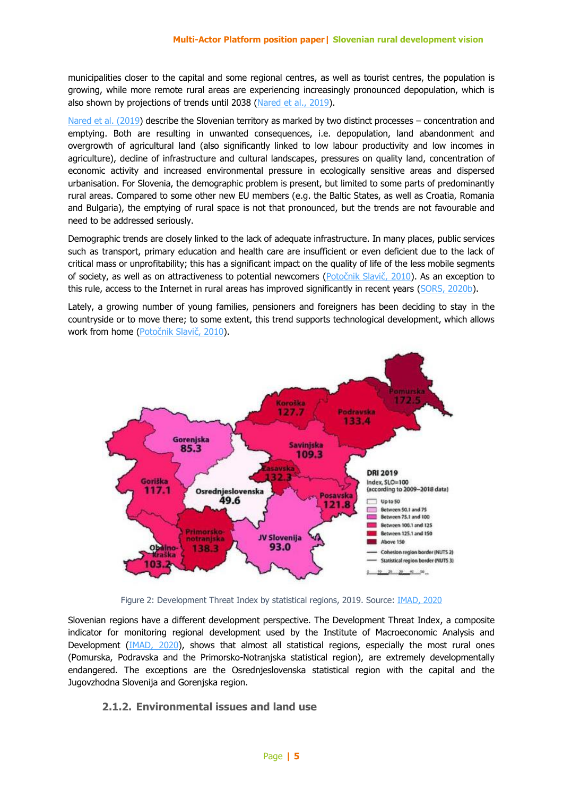municipalities closer to the capital and some regional centres, as well as tourist centres, the population is growing, while more remote rural areas are experiencing increasingly pronounced depopulation, which is also shown by projections of trends until 2038 (Nared et [al., 2019\)](https://omp.zrc-sazu.si/zalozba/catalog/view/1553/6503/824-1).

[Nared et](https://omp.zrc-sazu.si/zalozba/catalog/view/1553/6503/824-1) al. (2019) describe the Slovenian territory as marked by two distinct processes – concentration and emptying. Both are resulting in unwanted consequences, i.e. depopulation, land abandonment and overgrowth of agricultural land (also significantly linked to low labour productivity and low incomes in agriculture), decline of infrastructure and cultural landscapes, pressures on quality land, concentration of economic activity and increased environmental pressure in ecologically sensitive areas and dispersed urbanisation. For Slovenia, the demographic problem is present, but limited to some parts of predominantly rural areas. Compared to some other new EU members (e.g. the Baltic States, as well as Croatia, Romania and Bulgaria), the emptying of rural space is not that pronounced, but the trends are not favourable and need to be addressed seriously.

Demographic trends are closely linked to the lack of adequate infrastructure. In many places, public services such as transport, primary education and health care are insufficient or even deficient due to the lack of critical mass or unprofitability; this has a significant impact on the quality of life of the less mobile segments of society, as well as on attractiveness to potential newcomers ([Potočnik Slavič, 2010](https://e-knjige.ff.uni-lj.si/znanstvena-zalozba/catalog/view/57/123/2608-1)). As an exception to this rule, access to the Internet in rural areas has improved significantly in recent years [\(SORS, 2020b\)](https://pxweb.stat.si/SiStatData/pxweb/sl/Data/-/2974001S.px).

Lately, a growing number of young families, pensioners and foreigners has been deciding to stay in the countryside or to move there; to some extent, this trend supports technological development, which allows work from home ([Potočnik Slavič, 2010](https://e-knjige.ff.uni-lj.si/znanstvena-zalozba/catalog/view/57/123/2608-1)).



Figure 2: Development Threat Index by statistical regions, 2019. Source: [IMAD, 2020](https://www.umar.gov.si/fileadmin/user_upload/publikacije/kratke_analize/Indeks_razvojen_ogrozenosti_2019/Indeks_razvojne_ogrozenosti_2019.pdf)

Slovenian regions have a different development perspective. The Development Threat Index, a composite indicator for monitoring regional development used by the Institute of Macroeconomic Analysis and Development [\(IMAD, 2020\)](https://www.umar.gov.si/fileadmin/user_upload/publikacije/kratke_analize/Indeks_razvojen_ogrozenosti_2019/Indeks_razvojne_ogrozenosti_2019.pdf), shows that almost all statistical regions, especially the most rural ones (Pomurska, Podravska and the Primorsko-Notranjska statistical region), are extremely developmentally endangered. The exceptions are the Osrednjeslovenska statistical region with the capital and the Jugovzhodna Slovenija and Gorenjska region.

#### **2.1.2. Environmental issues and land use**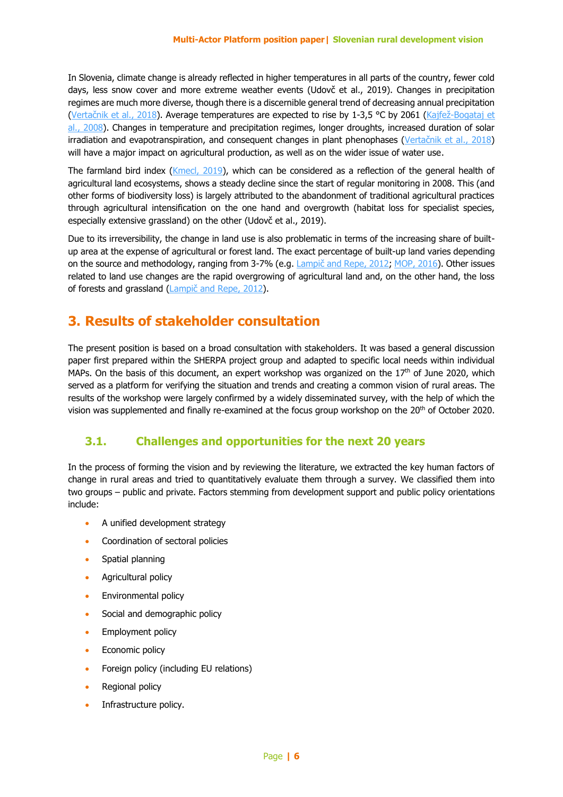In Slovenia, climate change is already reflected in higher temperatures in all parts of the country, fewer cold days, less snow cover and more extreme weather events (Udovč et al., 2019). Changes in precipitation regimes are much more diverse, though there is a discernible general trend of decreasing annual precipitation (Vertačnik et [al., 2018\)](https://meteo.arso.gov.si/uploads/probase/www/climate/text/sl/publications/PSSbrosura_spread_SLO.pdf). Average temperatures are expected to rise by 1-3,5 °C by 2061 (Kajfež-Bogataj et al[., 2008\)](http://agromet.mkgp.gov.si/Publikacije/STRATEGIJA%20prilagajanja.pdf). Changes in temperature and precipitation regimes, longer droughts, increased duration of solar irradiation and evapotranspiration, and consequent changes in plant phenophases ([Vertačnik](https://meteo.arso.gov.si/uploads/probase/www/climate/text/sl/publications/PSSbrosura_spread_SLO.pdf) et al., 2018) will have a major impact on agricultural production, as well as on the wider issue of water use.

The farmland bird index [\(Kmecl, 2019\)](https://www.researchgate.net/publication/339044394_Monitoring_splosno_razsirjenih_vrst_ptic_za_dolocitev_slovenskega_indeksa_ptic_kmetijske_krajine_-_delno_porocilo_za_leto_2019_Monitoring_of_common_bird_species_for_the_determination_of_Slovenian_farm), which can be considered as a reflection of the general health of agricultural land ecosystems, shows a steady decline since the start of regular monitoring in 2008. This (and other forms of biodiversity loss) is largely attributed to the abandonment of traditional agricultural practices through agricultural intensification on the one hand and overgrowth (habitat loss for specialist species, especially extensive grassland) on the other (Udovč et al., 2019).

Due to its irreversibility, the change in land use is also problematic in terms of the increasing share of builtup area at the expense of agricultural or forest land. The exact percentage of built-up land varies depending on the source and methodology, ranging from 3-7% (e.g. Lampič and Repe, 2012, [MOP, 2016\)](https://www.gov.si/assets/ministrstva/MOP/Publikacije/c5a7a4e249/proocilo_o_prostorskem_razvoju.pdf). Other issues related to land use changes are the rapid overgrowing of agricultural land and, on the other hand, the loss of forests and grassland (Lampič and [Repe, 2012\)](http://kazalci.arso.gov.si/sl/content/pozidava?tid=12).

#### **3. Results of stakeholder consultation**

The present position is based on a broad consultation with stakeholders. It was based a general discussion paper first prepared within the SHERPA project group and adapted to specific local needs within individual MAPs. On the basis of this document, an expert workshop was organized on the  $17<sup>th</sup>$  of June 2020, which served as a platform for verifying the situation and trends and creating a common vision of rural areas. The results of the workshop were largely confirmed by a widely disseminated survey, with the help of which the vision was supplemented and finally re-examined at the focus group workshop on the 20<sup>th</sup> of October 2020.

#### **3.1. Challenges and opportunities for the next 20 years**

In the process of forming the vision and by reviewing the literature, we extracted the key human factors of change in rural areas and tried to quantitatively evaluate them through a survey. We classified them into two groups – public and private. Factors stemming from development support and public policy orientations include:

- A unified development strategy
- Coordination of sectoral policies
- Spatial planning
- **Agricultural policy**
- **Environmental policy**
- Social and demographic policy
- Employment policy
- Economic policy
- Foreign policy (including EU relations)
- Regional policy
- Infrastructure policy.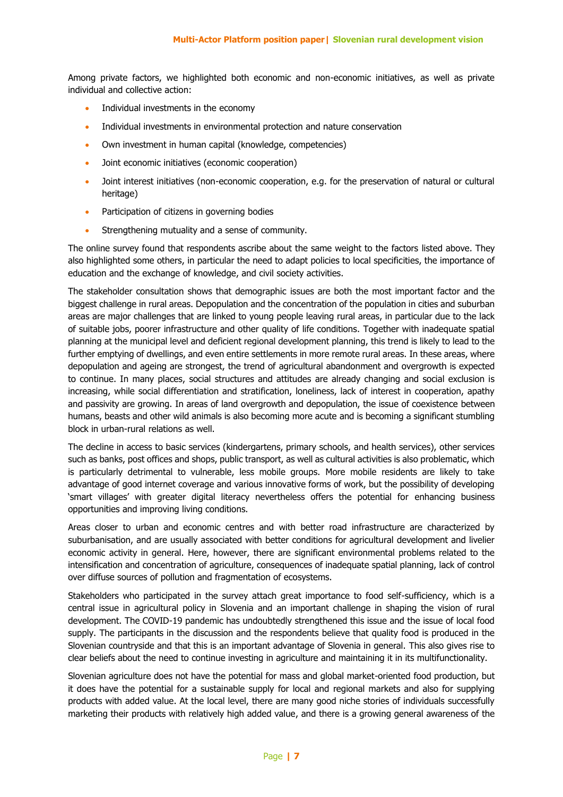Among private factors, we highlighted both economic and non-economic initiatives, as well as private individual and collective action:

- Individual investments in the economy
- Individual investments in environmental protection and nature conservation
- Own investment in human capital (knowledge, competencies)
- Joint economic initiatives (economic cooperation)
- Joint interest initiatives (non-economic cooperation, e.g. for the preservation of natural or cultural heritage)
- Participation of citizens in governing bodies
- Strengthening mutuality and a sense of community.

The online survey found that respondents ascribe about the same weight to the factors listed above. They also highlighted some others, in particular the need to adapt policies to local specificities, the importance of education and the exchange of knowledge, and civil society activities.

The stakeholder consultation shows that demographic issues are both the most important factor and the biggest challenge in rural areas. Depopulation and the concentration of the population in cities and suburban areas are major challenges that are linked to young people leaving rural areas, in particular due to the lack of suitable jobs, poorer infrastructure and other quality of life conditions. Together with inadequate spatial planning at the municipal level and deficient regional development planning, this trend is likely to lead to the further emptying of dwellings, and even entire settlements in more remote rural areas. In these areas, where depopulation and ageing are strongest, the trend of agricultural abandonment and overgrowth is expected to continue. In many places, social structures and attitudes are already changing and social exclusion is increasing, while social differentiation and stratification, loneliness, lack of interest in cooperation, apathy and passivity are growing. In areas of land overgrowth and depopulation, the issue of coexistence between humans, beasts and other wild animals is also becoming more acute and is becoming a significant stumbling block in urban-rural relations as well.

The decline in access to basic services (kindergartens, primary schools, and health services), other services such as banks, post offices and shops, public transport, as well as cultural activities is also problematic, which is particularly detrimental to vulnerable, less mobile groups. More mobile residents are likely to take advantage of good internet coverage and various innovative forms of work, but the possibility of developing 'smart villages' with greater digital literacy nevertheless offers the potential for enhancing business opportunities and improving living conditions.

Areas closer to urban and economic centres and with better road infrastructure are characterized by suburbanisation, and are usually associated with better conditions for agricultural development and livelier economic activity in general. Here, however, there are significant environmental problems related to the intensification and concentration of agriculture, consequences of inadequate spatial planning, lack of control over diffuse sources of pollution and fragmentation of ecosystems.

Stakeholders who participated in the survey attach great importance to food self-sufficiency, which is a central issue in agricultural policy in Slovenia and an important challenge in shaping the vision of rural development. The COVID-19 pandemic has undoubtedly strengthened this issue and the issue of local food supply. The participants in the discussion and the respondents believe that quality food is produced in the Slovenian countryside and that this is an important advantage of Slovenia in general. This also gives rise to clear beliefs about the need to continue investing in agriculture and maintaining it in its multifunctionality.

Slovenian agriculture does not have the potential for mass and global market-oriented food production, but it does have the potential for a sustainable supply for local and regional markets and also for supplying products with added value. At the local level, there are many good niche stories of individuals successfully marketing their products with relatively high added value, and there is a growing general awareness of the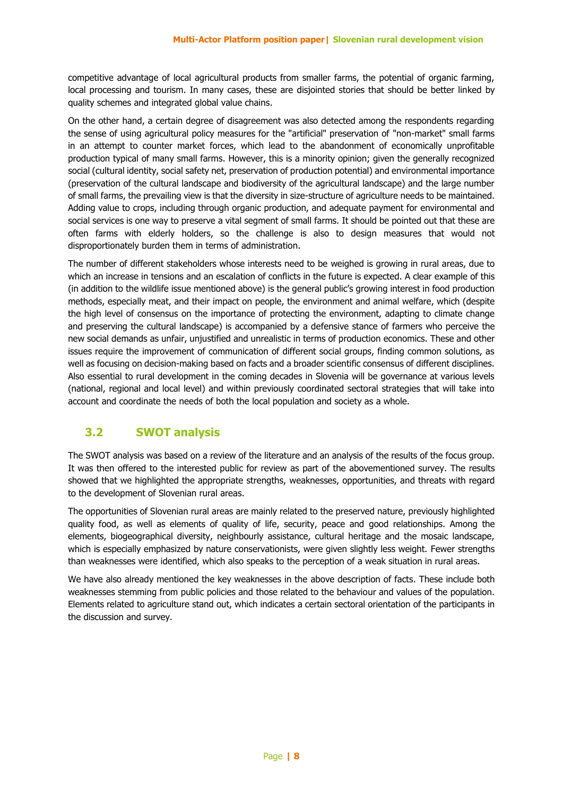competitive advantage of local agricultural products from smaller farms, the potential of organic farming, local processing and tourism. In many cases, these are disjointed stories that should be better linked by quality schemes and integrated global value chains.

On the other hand, a certain degree of disagreement was also detected among the respondents regarding the sense of using agricultural policy measures for the "artificial" preservation of "non-market" small farms in an attempt to counter market forces, which lead to the abandonment of economically unprofitable production typical of many small farms. However, this is a minority opinion; given the generally recognized social (cultural identity, social safety net, preservation of production potential) and environmental importance (preservation of the cultural landscape and biodiversity of the agricultural landscape) and the large number of small farms, the prevailing view is that the diversity in size-structure of agriculture needs to be maintained. Adding value to crops, including through organic production, and adequate payment for environmental and social services is one way to preserve a vital segment of small farms. It should be pointed out that these are often farms with elderly holders, so the challenge is also to design measures that would not disproportionately burden them in terms of administration.

The number of different stakeholders whose interests need to be weighed is growing in rural areas, due to which an increase in tensions and an escalation of conflicts in the future is expected. A clear example of this (in addition to the wildlife issue mentioned above) is the general public's growing interest in food production methods, especially meat, and their impact on people, the environment and animal welfare, which (despite the high level of consensus on the importance of protecting the environment, adapting to climate change and preserving the cultural landscape) is accompanied by a defensive stance of farmers who perceive the new social demands as unfair, unjustified and unrealistic in terms of production economics. These and other issues require the improvement of communication of different social groups, finding common solutions, as well as focusing on decision-making based on facts and a broader scientific consensus of different disciplines. Also essential to rural development in the coming decades in Slovenia will be governance at various levels (national, regional and local level) and within previously coordinated sectoral strategies that will take into account and coordinate the needs of both the local population and society as a whole.

#### **3.2 SWOT analysis**

The SWOT analysis was based on a review of the literature and an analysis of the results of the focus group. It was then offered to the interested public for review as part of the abovementioned survey. The results showed that we highlighted the appropriate strengths, weaknesses, opportunities, and threats with regard to the development of Slovenian rural areas.

The opportunities of Slovenian rural areas are mainly related to the preserved nature, previously highlighted quality food, as well as elements of quality of life, security, peace and good relationships. Among the elements, biogeographical diversity, neighbourly assistance, cultural heritage and the mosaic landscape, which is especially emphasized by nature conservationists, were given slightly less weight. Fewer strengths than weaknesses were identified, which also speaks to the perception of a weak situation in rural areas.

We have also already mentioned the key weaknesses in the above description of facts. These include both weaknesses stemming from public policies and those related to the behaviour and values of the population. Elements related to agriculture stand out, which indicates a certain sectoral orientation of the participants in the discussion and survey.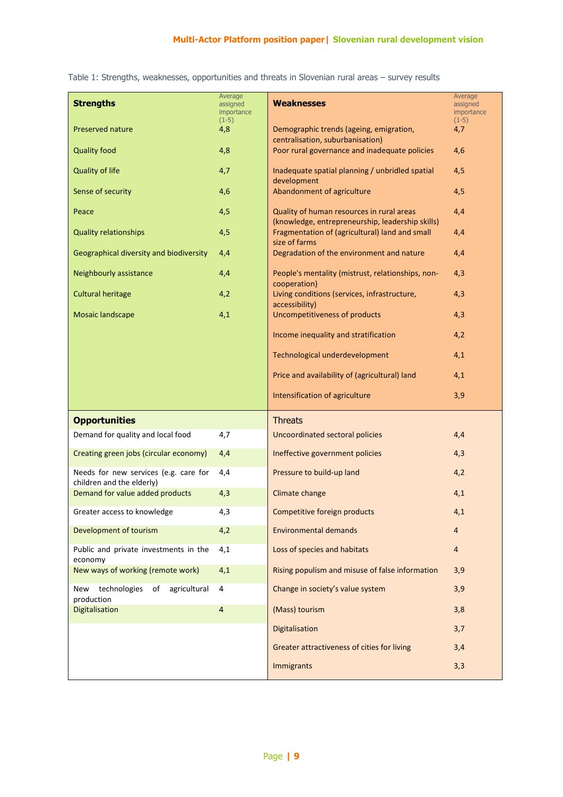**Strengths** Average assigned importance  $(1-5)$ **Weaknesses** Average assigned importance  $(1-5)$ Preserved nature **1.1 Contract 2008** A,8 Demographic trends (ageing, emigration, centralisation, suburbanisation) 4,7 Quality food **ACCO** 4,8 Poor rural governance and inadequate policies 4,6 Quality of life  $4,7$  Inadequate spatial planning / unbridled spatial development 4,5 Sense of security  $\begin{array}{c|c} 4,5 \\ 4,6 \end{array}$  Abandonment of agriculture  $\begin{array}{c} 4,5 \\ 4,5 \end{array}$ **Peace 19 August 2012 4,5** Quality of human resources in rural areas (knowledge, entrepreneurship, leadership skills) 4,4 Quality relationships **4,5** All Fragmentation of (agricultural) land and small size of farms 4,4 Geographical diversity and biodiversity 4,4 **Degradation of the environment and nature** 4,4 Neighbourly assistance **4,4** People's mentality (mistrust, relationships, noncooperation) 4,3 Cultural heritage 4,2 Living conditions (services, infrastructure, accessibility) 4,3 Mosaic landscape 4,1 Uncompetitiveness of products 4,3 Income inequality and stratification 4,2 Technological underdevelopment 4,1 Price and availability of (agricultural) land 4,1 Intensification of agriculture 3,9 **Opportunities** Threats Demand for quality and local food 4,7 Uncoordinated sectoral policies 4,4 Creating green jobs (circular economy) 4,4 Ineffective government policies 4,3 Needs for new services (e.g. care for children and the elderly) 4,4 Pressure to build-up land 4,2 Demand for value added products 4,3 Climate change 4,1 Climate 4,1 Greater access to knowledge 4,3 Competitive foreign products 4,1 Development of tourism 4,2 **Environmental demands** 4 Public and private investments in the economy 4,1 Loss of species and habitats 4 New ways of working (remote work) 4,1 Rising populism and misuse of false information 3,9 New technologies of agricultural production 4 Change in society's value system 3,9 **Digitalisation 4 (Mass) tourism 3,8** (Mass) tourism 3,8 Digitalisation 3,7 Greater attractiveness of cities for living 3,4 **Immigrants** 3,3

Table 1: Strengths, weaknesses, opportunities and threats in Slovenian rural areas – survey results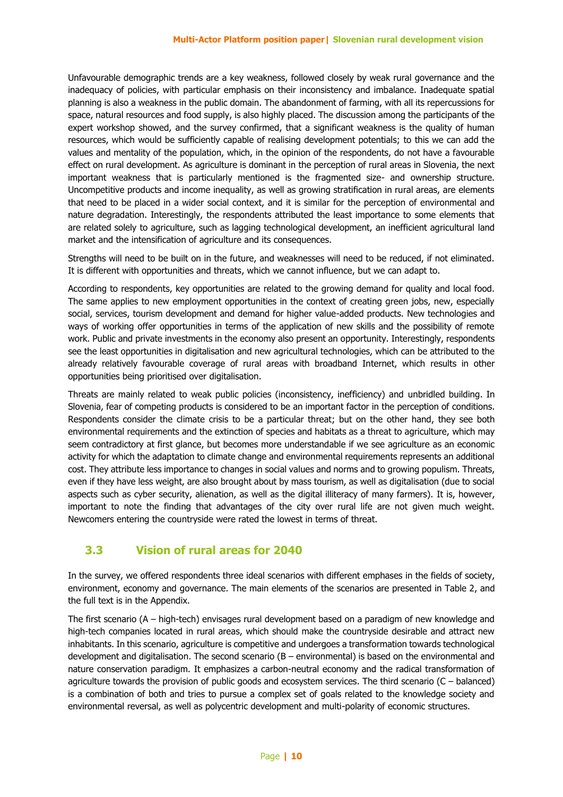Unfavourable demographic trends are a key weakness, followed closely by weak rural governance and the inadequacy of policies, with particular emphasis on their inconsistency and imbalance. Inadequate spatial planning is also a weakness in the public domain. The abandonment of farming, with all its repercussions for space, natural resources and food supply, is also highly placed. The discussion among the participants of the expert workshop showed, and the survey confirmed, that a significant weakness is the quality of human resources, which would be sufficiently capable of realising development potentials; to this we can add the values and mentality of the population, which, in the opinion of the respondents, do not have a favourable effect on rural development. As agriculture is dominant in the perception of rural areas in Slovenia, the next important weakness that is particularly mentioned is the fragmented size- and ownership structure. Uncompetitive products and income inequality, as well as growing stratification in rural areas, are elements that need to be placed in a wider social context, and it is similar for the perception of environmental and nature degradation. Interestingly, the respondents attributed the least importance to some elements that are related solely to agriculture, such as lagging technological development, an inefficient agricultural land market and the intensification of agriculture and its consequences.

Strengths will need to be built on in the future, and weaknesses will need to be reduced, if not eliminated. It is different with opportunities and threats, which we cannot influence, but we can adapt to.

According to respondents, key opportunities are related to the growing demand for quality and local food. The same applies to new employment opportunities in the context of creating green jobs, new, especially social, services, tourism development and demand for higher value-added products. New technologies and ways of working offer opportunities in terms of the application of new skills and the possibility of remote work. Public and private investments in the economy also present an opportunity. Interestingly, respondents see the least opportunities in digitalisation and new agricultural technologies, which can be attributed to the already relatively favourable coverage of rural areas with broadband Internet, which results in other opportunities being prioritised over digitalisation.

Threats are mainly related to weak public policies (inconsistency, inefficiency) and unbridled building. In Slovenia, fear of competing products is considered to be an important factor in the perception of conditions. Respondents consider the climate crisis to be a particular threat; but on the other hand, they see both environmental requirements and the extinction of species and habitats as a threat to agriculture, which may seem contradictory at first glance, but becomes more understandable if we see agriculture as an economic activity for which the adaptation to climate change and environmental requirements represents an additional cost. They attribute less importance to changes in social values and norms and to growing populism. Threats, even if they have less weight, are also brought about by mass tourism, as well as digitalisation (due to social aspects such as cyber security, alienation, as well as the digital illiteracy of many farmers). It is, however, important to note the finding that advantages of the city over rural life are not given much weight. Newcomers entering the countryside were rated the lowest in terms of threat.

#### **3.3 Vision of rural areas for 2040**

In the survey, we offered respondents three ideal scenarios with different emphases in the fields of society, environment, economy and governance. The main elements of the scenarios are presented in Table 2, and the full text is in the Appendix.

The first scenario (A – high-tech) envisages rural development based on a paradigm of new knowledge and high-tech companies located in rural areas, which should make the countryside desirable and attract new inhabitants. In this scenario, agriculture is competitive and undergoes a transformation towards technological development and digitalisation. The second scenario (B – environmental) is based on the environmental and nature conservation paradigm. It emphasizes a carbon-neutral economy and the radical transformation of agriculture towards the provision of public goods and ecosystem services. The third scenario (C – balanced) is a combination of both and tries to pursue a complex set of goals related to the knowledge society and environmental reversal, as well as polycentric development and multi-polarity of economic structures.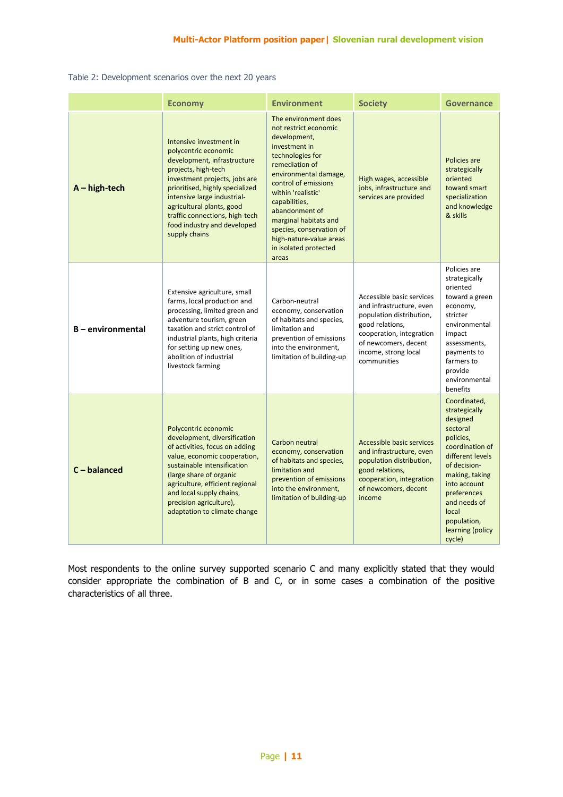Table 2: Development scenarios over the next 20 years

|                   | <b>Economy</b>                                                                                                                                                                                                                                                                                                          | <b>Environment</b>                                                                                                                                                                                                                                                                                                                               | <b>Society</b>                                                                                                                                                                                  | Governance                                                                                                                                                                                                                                       |
|-------------------|-------------------------------------------------------------------------------------------------------------------------------------------------------------------------------------------------------------------------------------------------------------------------------------------------------------------------|--------------------------------------------------------------------------------------------------------------------------------------------------------------------------------------------------------------------------------------------------------------------------------------------------------------------------------------------------|-------------------------------------------------------------------------------------------------------------------------------------------------------------------------------------------------|--------------------------------------------------------------------------------------------------------------------------------------------------------------------------------------------------------------------------------------------------|
| $A - high-tech$   | Intensive investment in<br>polycentric economic<br>development, infrastructure<br>projects, high-tech<br>investment projects, jobs are<br>prioritised, highly specialized<br>intensive large industrial-<br>agricultural plants, good<br>traffic connections, high-tech<br>food industry and developed<br>supply chains | The environment does<br>not restrict economic<br>development,<br>investment in<br>technologies for<br>remediation of<br>environmental damage,<br>control of emissions<br>within 'realistic'<br>capabilities,<br>abandonment of<br>marginal habitats and<br>species, conservation of<br>high-nature-value areas<br>in isolated protected<br>areas | High wages, accessible<br>jobs, infrastructure and<br>services are provided                                                                                                                     | Policies are<br>strategically<br>oriented<br>toward smart<br>specialization<br>and knowledge<br>& skills                                                                                                                                         |
| B - environmental | Extensive agriculture, small<br>farms, local production and<br>processing, limited green and<br>adventure tourism, green<br>taxation and strict control of<br>industrial plants, high criteria<br>for setting up new ones,<br>abolition of industrial<br>livestock farming                                              | Carbon-neutral<br>economy, conservation<br>of habitats and species,<br>limitation and<br>prevention of emissions<br>into the environment,<br>limitation of building-up                                                                                                                                                                           | Accessible basic services<br>and infrastructure, even<br>population distribution,<br>good relations,<br>cooperation, integration<br>of newcomers, decent<br>income, strong local<br>communities | Policies are<br>strategically<br>oriented<br>toward a green<br>economy,<br>stricter<br>environmental<br>impact<br>assessments,<br>payments to<br>farmers to<br>provide<br>environmental<br>benefits                                              |
| $C - balance$     | Polycentric economic<br>development, diversification<br>of activities, focus on adding<br>value, economic cooperation,<br>sustainable intensification<br>(large share of organic<br>agriculture, efficient regional<br>and local supply chains,<br>precision agriculture),<br>adaptation to climate change              | Carbon neutral<br>economy, conservation<br>of habitats and species,<br>limitation and<br>prevention of emissions<br>into the environment,<br>limitation of building-up                                                                                                                                                                           | Accessible basic services<br>and infrastructure, even<br>population distribution,<br>good relations,<br>cooperation, integration<br>of newcomers, decent<br>income                              | Coordinated,<br>strategically<br>designed<br>sectoral<br>policies,<br>coordination of<br>different levels<br>of decision-<br>making, taking<br>into account<br>preferences<br>and needs of<br>local<br>population,<br>learning (policy<br>cycle) |

Most respondents to the online survey supported scenario C and many explicitly stated that they would consider appropriate the combination of B and C, or in some cases a combination of the positive characteristics of all three.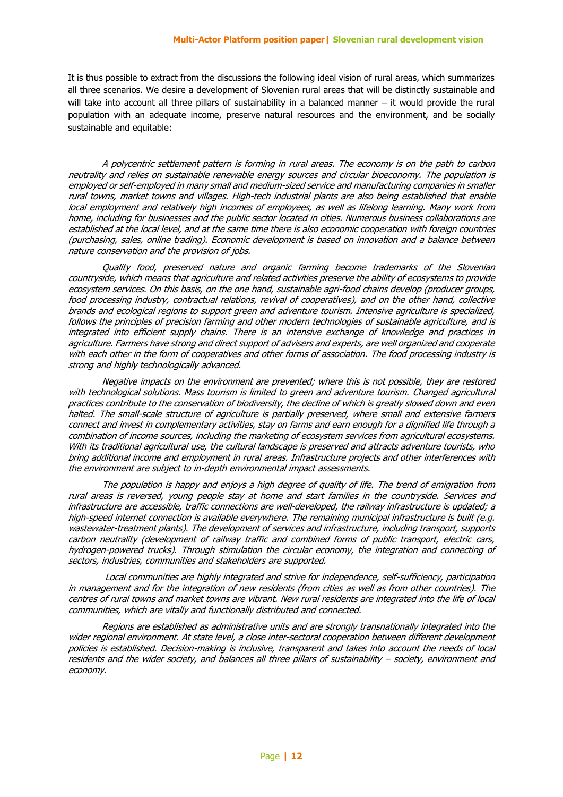It is thus possible to extract from the discussions the following ideal vision of rural areas, which summarizes all three scenarios. We desire a development of Slovenian rural areas that will be distinctly sustainable and will take into account all three pillars of sustainability in a balanced manner – it would provide the rural population with an adequate income, preserve natural resources and the environment, and be socially sustainable and equitable:

A polycentric settlement pattern is forming in rural areas. The economy is on the path to carbon neutrality and relies on sustainable renewable energy sources and circular bioeconomy. The population is employed or self-employed in many small and medium-sized service and manufacturing companies in smaller rural towns, market towns and villages. High-tech industrial plants are also being established that enable local employment and relatively high incomes of employees, as well as lifelong learning. Many work from home, including for businesses and the public sector located in cities. Numerous business collaborations are established at the local level, and at the same time there is also economic cooperation with foreign countries (purchasing, sales, online trading). Economic development is based on innovation and a balance between nature conservation and the provision of jobs.

Quality food, preserved nature and organic farming become trademarks of the Slovenian countryside, which means that agriculture and related activities preserve the ability of ecosystems to provide ecosystem services. On this basis, on the one hand, sustainable agri-food chains develop (producer groups, food processing industry, contractual relations, revival of cooperatives), and on the other hand, collective brands and ecological regions to support green and adventure tourism. Intensive agriculture is specialized, follows the principles of precision farming and other modern technologies of sustainable agriculture, and is integrated into efficient supply chains. There is an intensive exchange of knowledge and practices in agriculture. Farmers have strong and direct support of advisers and experts, are well organized and cooperate with each other in the form of cooperatives and other forms of association. The food processing industry is strong and highly technologically advanced.

Negative impacts on the environment are prevented; where this is not possible, they are restored with technological solutions. Mass tourism is limited to green and adventure tourism. Changed agricultural practices contribute to the conservation of biodiversity, the decline of which is greatly slowed down and even halted. The small-scale structure of agriculture is partially preserved, where small and extensive farmers connect and invest in complementary activities, stay on farms and earn enough for a dignified life through a combination of income sources, including the marketing of ecosystem services from agricultural ecosystems. With its traditional agricultural use, the cultural landscape is preserved and attracts adventure tourists, who bring additional income and employment in rural areas. Infrastructure projects and other interferences with the environment are subject to in-depth environmental impact assessments.

The population is happy and enjoys a high degree of quality of life. The trend of emigration from rural areas is reversed, young people stay at home and start families in the countryside. Services and infrastructure are accessible, traffic connections are well-developed, the railway infrastructure is updated; a high-speed internet connection is available everywhere. The remaining municipal infrastructure is built (e.g. wastewater-treatment plants). The development of services and infrastructure, including transport, supports carbon neutrality (development of railway traffic and combined forms of public transport, electric cars, hydrogen-powered trucks). Through stimulation the circular economy, the integration and connecting of sectors, industries, communities and stakeholders are supported.

Local communities are highly integrated and strive for independence, self-sufficiency, participation in management and for the integration of new residents (from cities as well as from other countries). The centres of rural towns and market towns are vibrant. New rural residents are integrated into the life of local communities, which are vitally and functionally distributed and connected.

Regions are established as administrative units and are strongly transnationally integrated into the wider regional environment. At state level, a close inter-sectoral cooperation between different development policies is established. Decision-making is inclusive, transparent and takes into account the needs of local residents and the wider society, and balances all three pillars of sustainability – society, environment and economy.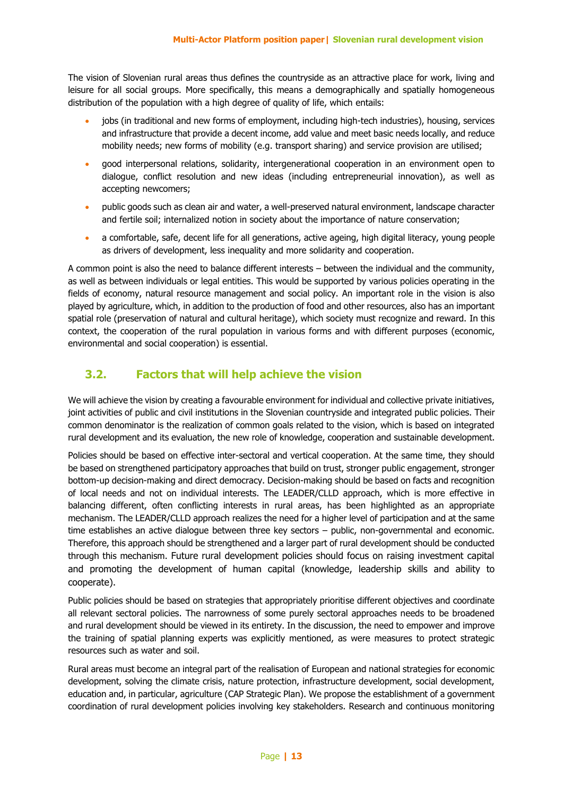The vision of Slovenian rural areas thus defines the countryside as an attractive place for work, living and leisure for all social groups. More specifically, this means a demographically and spatially homogeneous distribution of the population with a high degree of quality of life, which entails:

- jobs (in traditional and new forms of employment, including high-tech industries), housing, services and infrastructure that provide a decent income, add value and meet basic needs locally, and reduce mobility needs; new forms of mobility (e.g. transport sharing) and service provision are utilised;
- good interpersonal relations, solidarity, intergenerational cooperation in an environment open to dialogue, conflict resolution and new ideas (including entrepreneurial innovation), as well as accepting newcomers;
- public goods such as clean air and water, a well-preserved natural environment, landscape character and fertile soil; internalized notion in society about the importance of nature conservation;
- a comfortable, safe, decent life for all generations, active ageing, high digital literacy, young people as drivers of development, less inequality and more solidarity and cooperation.

A common point is also the need to balance different interests – between the individual and the community, as well as between individuals or legal entities. This would be supported by various policies operating in the fields of economy, natural resource management and social policy. An important role in the vision is also played by agriculture, which, in addition to the production of food and other resources, also has an important spatial role (preservation of natural and cultural heritage), which society must recognize and reward. In this context, the cooperation of the rural population in various forms and with different purposes (economic, environmental and social cooperation) is essential.

#### **3.2. Factors that will help achieve the vision**

We will achieve the vision by creating a favourable environment for individual and collective private initiatives, joint activities of public and civil institutions in the Slovenian countryside and integrated public policies. Their common denominator is the realization of common goals related to the vision, which is based on integrated rural development and its evaluation, the new role of knowledge, cooperation and sustainable development.

Policies should be based on effective inter-sectoral and vertical cooperation. At the same time, they should be based on strengthened participatory approaches that build on trust, stronger public engagement, stronger bottom-up decision-making and direct democracy. Decision-making should be based on facts and recognition of local needs and not on individual interests. The LEADER/CLLD approach, which is more effective in balancing different, often conflicting interests in rural areas, has been highlighted as an appropriate mechanism. The LEADER/CLLD approach realizes the need for a higher level of participation and at the same time establishes an active dialogue between three key sectors – public, non-governmental and economic. Therefore, this approach should be strengthened and a larger part of rural development should be conducted through this mechanism. Future rural development policies should focus on raising investment capital and promoting the development of human capital (knowledge, leadership skills and ability to cooperate).

Public policies should be based on strategies that appropriately prioritise different objectives and coordinate all relevant sectoral policies. The narrowness of some purely sectoral approaches needs to be broadened and rural development should be viewed in its entirety. In the discussion, the need to empower and improve the training of spatial planning experts was explicitly mentioned, as were measures to protect strategic resources such as water and soil.

Rural areas must become an integral part of the realisation of European and national strategies for economic development, solving the climate crisis, nature protection, infrastructure development, social development, education and, in particular, agriculture (CAP Strategic Plan). We propose the establishment of a government coordination of rural development policies involving key stakeholders. Research and continuous monitoring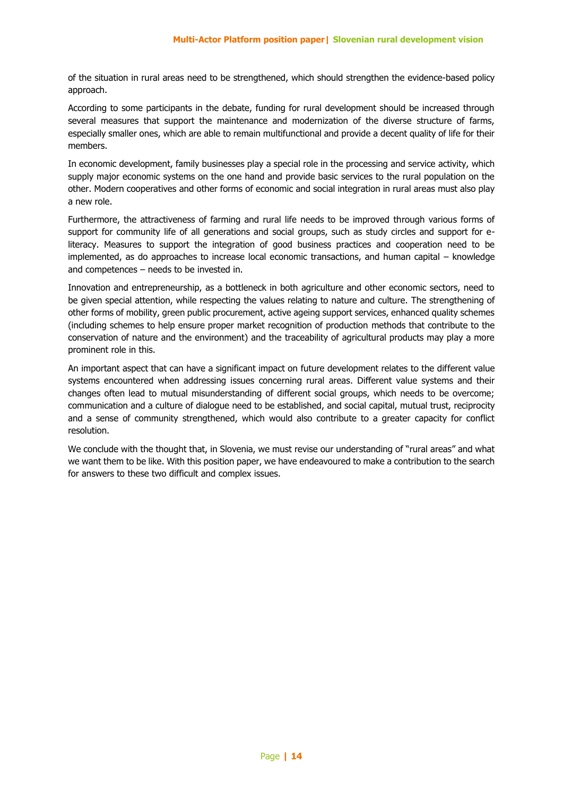of the situation in rural areas need to be strengthened, which should strengthen the evidence-based policy approach.

According to some participants in the debate, funding for rural development should be increased through several measures that support the maintenance and modernization of the diverse structure of farms, especially smaller ones, which are able to remain multifunctional and provide a decent quality of life for their members.

In economic development, family businesses play a special role in the processing and service activity, which supply major economic systems on the one hand and provide basic services to the rural population on the other. Modern cooperatives and other forms of economic and social integration in rural areas must also play a new role.

Furthermore, the attractiveness of farming and rural life needs to be improved through various forms of support for community life of all generations and social groups, such as study circles and support for eliteracy. Measures to support the integration of good business practices and cooperation need to be implemented, as do approaches to increase local economic transactions, and human capital – knowledge and competences – needs to be invested in.

Innovation and entrepreneurship, as a bottleneck in both agriculture and other economic sectors, need to be given special attention, while respecting the values relating to nature and culture. The strengthening of other forms of mobility, green public procurement, active ageing support services, enhanced quality schemes (including schemes to help ensure proper market recognition of production methods that contribute to the conservation of nature and the environment) and the traceability of agricultural products may play a more prominent role in this.

An important aspect that can have a significant impact on future development relates to the different value systems encountered when addressing issues concerning rural areas. Different value systems and their changes often lead to mutual misunderstanding of different social groups, which needs to be overcome; communication and a culture of dialogue need to be established, and social capital, mutual trust, reciprocity and a sense of community strengthened, which would also contribute to a greater capacity for conflict resolution.

We conclude with the thought that, in Slovenia, we must revise our understanding of "rural areas" and what we want them to be like. With this position paper, we have endeavoured to make a contribution to the search for answers to these two difficult and complex issues.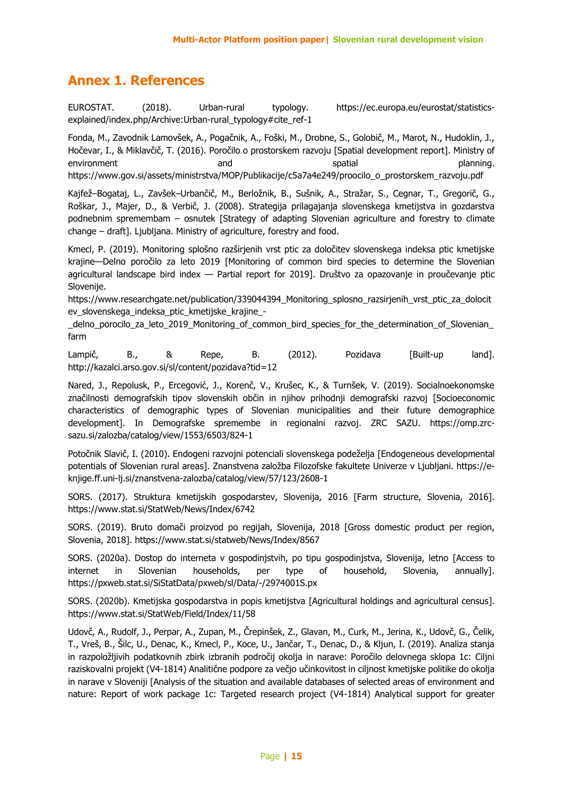#### **Annex 1. References**

EUROSTAT. (2018). Urban-rural typology. https://ec.europa.eu/eurostat/statisticsexplained/index.php/Archive:Urban-rural\_typology#cite\_ref-1

Fonda, M., Zavodnik Lamovšek, A., Pogačnik, A., Foški, M., Drobne, S., Golobič, M., Marot, N., Hudoklin, J., Hočevar, I., & Miklavčič, T. (2016). Poročilo o prostorskem razvoju [Spatial development report]. Ministry of environment and and spatial planning.

https://www.gov.si/assets/ministrstva/MOP/Publikacije/c5a7a4e249/proocilo\_o\_prostorskem\_razvoju.pdf

Kajfež–Bogataj, L., Zavšek–Urbančič, M., Berložnik, B., Sušnik, A., Stražar, S., Cegnar, T., Gregorič, G., Roškar, J., Majer, D., & Verbič, J. (2008). Strategija prilagajanja slovenskega kmetijstva in gozdarstva podnebnim spremembam – osnutek [Strategy of adapting Slovenian agriculture and forestry to climate change – draft]. Ljubljana. Ministry of agriculture, forestry and food.

Kmecl, P. (2019). Monitoring splošno razširjenih vrst ptic za določitev slovenskega indeksa ptic kmetijske krajine—Delno poročilo za leto 2019 [Monitoring of common bird species to determine the Slovenian agricultural landscape bird index — Partial report for 2019]. Društvo za opazovanje in proučevanje ptic Slovenije.

https://www.researchgate.net/publication/339044394\_Monitoring\_splosno\_razsirienih\_vrst\_ptic\_za\_dolocit ev\_slovenskega\_indeksa\_ptic\_kmetijske\_krajine\_-

\_delno\_porocilo\_za\_leto\_2019\_Monitoring\_of\_common\_bird\_species\_for\_the\_determination\_of\_Slovenian\_ farm

Lampič, B., & Repe, B. (2012). Pozidava [Built-up land]. http://kazalci.arso.gov.si/sl/content/pozidava?tid=12

Nared, J., Repolusk, P., Ercegović, J., Korenč, V., Krušec, K., & Turnšek, V. (2019). Socialnoekonomske značilnosti demografskih tipov slovenskih občin in njihov prihodnji demografski razvoj [Socioeconomic characteristics of demographic types of Slovenian municipalities and their future demographice development]. In Demografske spremembe in regionalni razvoj. ZRC SAZU. https://omp.zrcsazu.si/zalozba/catalog/view/1553/6503/824-1

Potočnik Slavič, I. (2010). Endogeni razvojni potenciali slovenskega podeželja [Endogeneous developmental potentials of Slovenian rural areas]. Znanstvena založba Filozofske fakultete Univerze v Ljubljani. https://eknjige.ff.uni-lj.si/znanstvena-zalozba/catalog/view/57/123/2608-1

SORS. (2017). Struktura kmetijskih gospodarstev, Slovenija, 2016 [Farm structure, Slovenia, 2016]. https://www.stat.si/StatWeb/News/Index/6742

SORS. (2019). Bruto domači proizvod po regijah, Slovenija, 2018 [Gross domestic product per region, Slovenia, 2018]. https://www.stat.si/statweb/News/Index/8567

SORS. (2020a). Dostop do interneta v gospodinjstvih, po tipu gospodinjstva, Slovenija, letno [Access to internet in Slovenian households, per type of household, Slovenia, annually]. https://pxweb.stat.si/SiStatData/pxweb/sl/Data/-/2974001S.px

SORS. (2020b). Kmetijska gospodarstva in popis kmetijstva [Agricultural holdings and agricultural census]. https://www.stat.si/StatWeb/Field/Index/11/58

Udovč, A., Rudolf, J., Perpar, A., Zupan, M., Črepinšek, Z., Glavan, M., Curk, M., Jerina, K., Udovč, G., Čelik, T., Vreš, B., Šilc, U., Denac, K., Kmecl, P., Koce, U., Jančar, T., Denac, D., & Kljun, I. (2019). Analiza stanja in razpoložljivih podatkovnih zbirk izbranih področij okolja in narave: Poročilo delovnega sklopa 1c: Ciljni raziskovalni projekt (V4-1814) Analitične podpore za večjo učinkovitost in ciljnost kmetijske politike do okolja in narave v Sloveniji [Analysis of the situation and available databases of selected areas of environment and nature: Report of work package 1c: Targeted research project (V4-1814) Analytical support for greater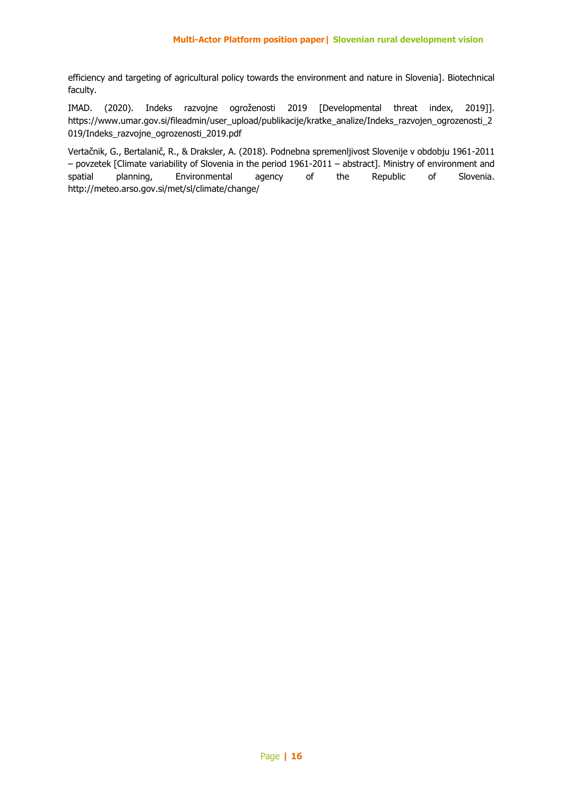efficiency and targeting of agricultural policy towards the environment and nature in Slovenia]. Biotechnical faculty.

IMAD. (2020). Indeks razvojne ogroženosti 2019 [Developmental threat index, 2019]]. https://www.umar.gov.si/fileadmin/user\_upload/publikacije/kratke\_analize/Indeks\_razvojen\_ogrozenosti\_2 019/Indeks\_razvojne\_ogrozenosti\_2019.pdf

Vertačnik, G., Bertalanič, R., & Draksler, A. (2018). Podnebna spremenljivost Slovenije v obdobju 1961-2011 – povzetek [Climate variability of Slovenia in the period 1961-2011 – abstract]. Ministry of environment and spatial planning, Environmental agency of the Republic of Slovenia. http://meteo.arso.gov.si/met/sl/climate/change/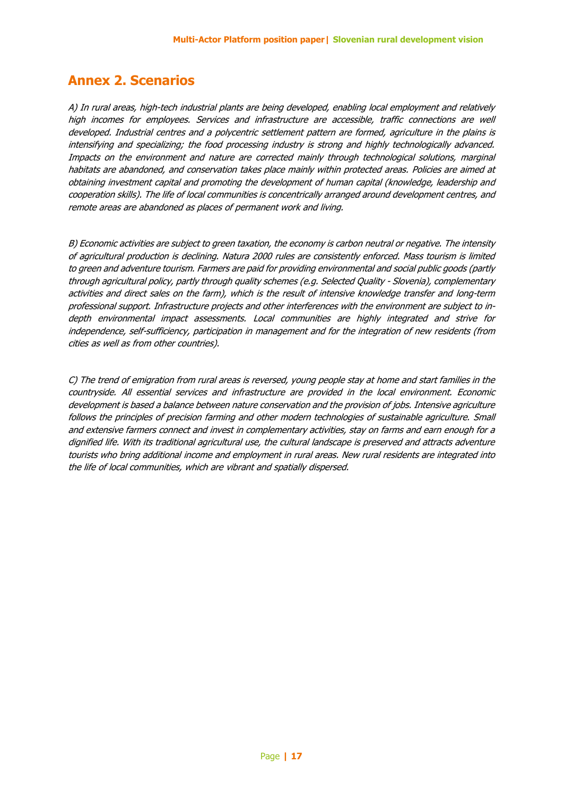#### **Annex 2. Scenarios**

A) In rural areas, high-tech industrial plants are being developed, enabling local employment and relatively high incomes for employees. Services and infrastructure are accessible, traffic connections are well developed. Industrial centres and a polycentric settlement pattern are formed, agriculture in the plains is intensifying and specializing; the food processing industry is strong and highly technologically advanced. Impacts on the environment and nature are corrected mainly through technological solutions, marginal habitats are abandoned, and conservation takes place mainly within protected areas. Policies are aimed at obtaining investment capital and promoting the development of human capital (knowledge, leadership and cooperation skills). The life of local communities is concentrically arranged around development centres, and remote areas are abandoned as places of permanent work and living.

B) Economic activities are subject to green taxation, the economy is carbon neutral or negative. The intensity of agricultural production is declining. Natura 2000 rules are consistently enforced. Mass tourism is limited to green and adventure tourism. Farmers are paid for providing environmental and social public goods (partly through agricultural policy, partly through quality schemes (e.g. Selected Quality - Slovenia), complementary activities and direct sales on the farm), which is the result of intensive knowledge transfer and long-term professional support. Infrastructure projects and other interferences with the environment are subject to indepth environmental impact assessments. Local communities are highly integrated and strive for independence, self-sufficiency, participation in management and for the integration of new residents (from cities as well as from other countries).

C) The trend of emigration from rural areas is reversed, young people stay at home and start families in the countryside. All essential services and infrastructure are provided in the local environment. Economic development is based a balance between nature conservation and the provision of jobs. Intensive agriculture follows the principles of precision farming and other modern technologies of sustainable agriculture. Small and extensive farmers connect and invest in complementary activities, stay on farms and earn enough for a dignified life. With its traditional agricultural use, the cultural landscape is preserved and attracts adventure tourists who bring additional income and employment in rural areas. New rural residents are integrated into the life of local communities, which are vibrant and spatially dispersed.